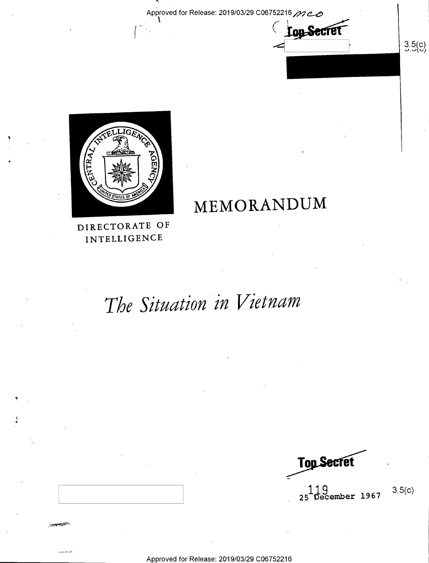Approved for Release: 2019/03/29 C06752216 20

**Lon-Secret** 



# MEMORANDUM

DIRECTORATE OF INTELLIGENCE

# The Situation in Vietnam

**Top Secret** 110<br>25 December 1967

 $3.5(c)$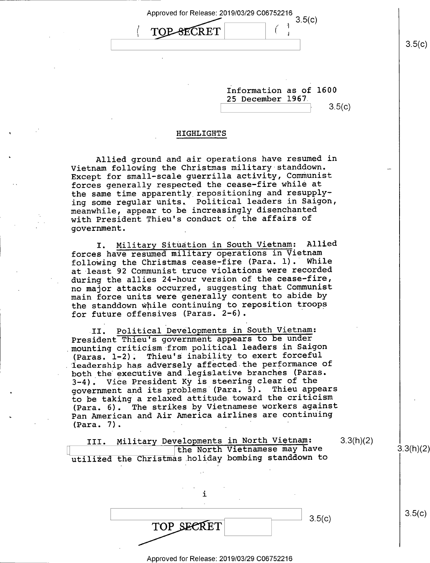၁.၁(၄) TOP-SECRET | | |

Information as of 1600 25 December 1967  $3.5(c)$ 

### HIGHLIGHTS

Allied ground and air operations have resumed in Vietnam following the Christmas military-standdown. Except for small-scale guerrilla activity, Communist forces generally respected the cease-fire while at the same time apparently repositioning and resupplying some regular units.' Political leaders in Saigon, meanwhile, appear to be increasingly disenchanted with President Thieu's conduct of the affairs of government. \_

I. Military Situation in South Vietnam: Allied forces have resumed military operations in Vietnam following the Christmas cease-fire (Para. 1). While at least 92 Communist truce violations were recorded during the allies 24-hour version of the cease-fire, no major attacks occurred, suggesting that Communist main force units were generally content to abide by the standdown while continuing to reposition troops for future offensives (Paras. 2-6).

II. Political Developments in South Vietnam: President Thieu's government appears to be under mounting criticism from political leaders in Saigon (Paras. 1-2). Thieu's inability to exert forceful leadership has adversely affected the performance of both\_the executive and.1egis1ative branches (Paras. 3-4). Vice President Ky is steering clear of the government and its problems (Para. 5). Thieu appears to be taking a relaxed attitude.toward the criticism (Para. 6). The strikes by Vietnamese workers against Pan American and Air America airlines are continuing (Para. 7). <sup>~</sup> '

III. Military Developments in North Vietnam: 3.3(h)(2) utiliéed the Christmas.holiday bombing standdown to  $the North Vietnamese may have$   $3.3(h)(2)$ 

 $3.5(c)$ 

i TOP SECRET ၁.၁(၄)

Approved for Release: 2019/03/29 C06752216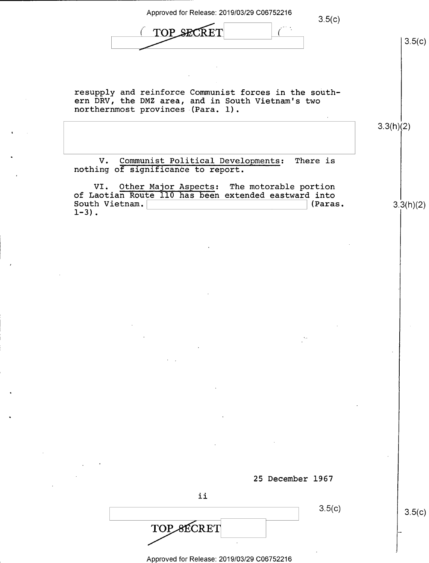Approved for Release: 2019/03/29 C06752216  $3.5(c)$ TOP SECRET  $\sqrt{3.5(c)}$ resupply and reinforce Communist forces in the south-ern DRV, the DMZ area, and in South Vietnam's two northernmost provinces (Para. l). . The contract of the contract of the contract of the contract of the contract of the contract of the contract of the contract of the contract of the contract of the contract of the contract of the contract of the contrac V. Communist Political Developments: There is nothing of significance to report. VI; Other Major Aspects: The motorable portion of Laotian Route ll0 has been extended eastward into South Vietnam. \(Paras. sgyhxz) l-3). 25 December 1967 ii  $3.5(c)$  $3.5(c)$ TOP SECRET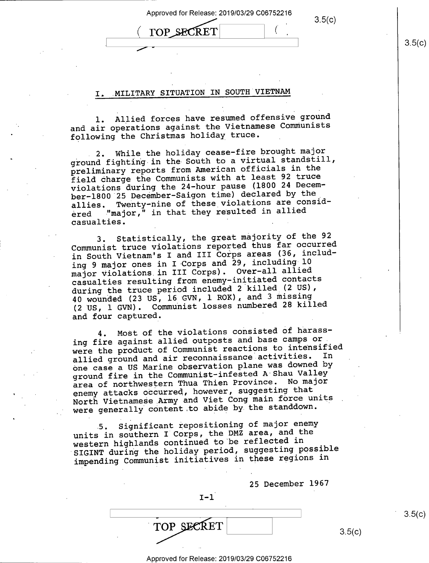Approved for Release: 2019/03/29 C06752216 35¢: ('roR§EGfi§;Tj (1

## MILITARY SITUATION IN SOUTH VIETNAM

 $\overline{\phantom{a}}$ 

l. Allied forces have resumed offensive ground and air operations against the Vietnamese Communists following the Christmas holiday truce.

ground fighting in the South to a virtual standstill, . 2. While the holiday cease—fire brought major preliminary reports from American officials in the field charge the Communists with at least 92 truce violations during the 24-hour pause (1800 24 December—l800 25 December-Saigon time) declared by the\_ allies. Twenty-nine of these violations are consid-<br>ered "major," in that they resulted in allied "major," in that they resulted in allied casualties. "  $\cdot$  .

3. Statistically, the great majority of the <sup>92</sup> Communist truce violations reported thus far occurred in South Vietnam's I and III Corps areas (36, includ ing 9 major ones in I Corps and 29, including l0 major violations in III Corps). Over-all allied casualties resulting from enemy-initiated contacts during the truce period included 2 killed (2 US), <sup>40</sup>wounded (23 US, l6 GVN, l ROK), and 3 missing (2 US, l GVN). Communist losses numbered 28 killed and four captured.

4. Most of the violations consisted of harassing fire against allied outposts and base camps or. were the product of Communist reactions to intensified allied ground and air reconnaissance activities. one case a US Marine observation plane was downed by ground fire in the Communist—infested A Shau Valley area of northwestern Thua Thien Province. No major enemy attacks occurred, however, suggesting that North Vietnamese Army and Viet Cong main force units \_ were generally content to abide by the standdown.

-5. Significant repositioning of major enemy units in southern I Corps, the DMZ area, and the western highlands continued to be reflected in SIGINT during the holiday period, suggesting possible impending Communist initiatives in these regions in

25 December 1967

\ \ TOP SECRET 3.5(c)

 $3.5(c)$ 

 $3.5(c)$ 

 $3.5(c)$ 

Approved for Release: 2019/03/29 C06752216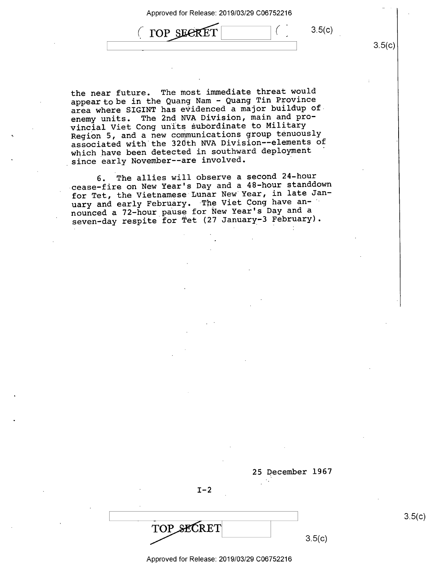$TOP$  SECRET  $\boxed{\qquad}$  (  $3.5(c)$ 

the near future. The most immediate threat would appearto be in the Quang Nam - Quang Tin Province<br>contract a contract in the prior buildup of area where SIGINT has evidenced a major buildup of enemy units. The 2nd NVA Division, main and provincial Viet Cong units subordinate to Military Region 5, and a new communications group tenuously associated with the 320th NVA Division--elements of which have been detected in southward deployment since early November--are involved.

6. The allies will observe a second 24-hour cease-fire on New Year's Day and a 48-hour standdown for Tet, the Vietnamese Lunar New Year, in late January and early February. The Viet Cong have announced a 72-hour pause for New Year's Day and a seven-day respite for Tet (27 January-3 February).

25 December 1967

 $I-2$ 

o - \ s.5(¢ TOP SECRET

 $3.5(c)$ 

Approved for Release: 2019/03/29 C06752216

 $\frac{1}{2}$   $\frac{3.5(6)}{2}$ 

R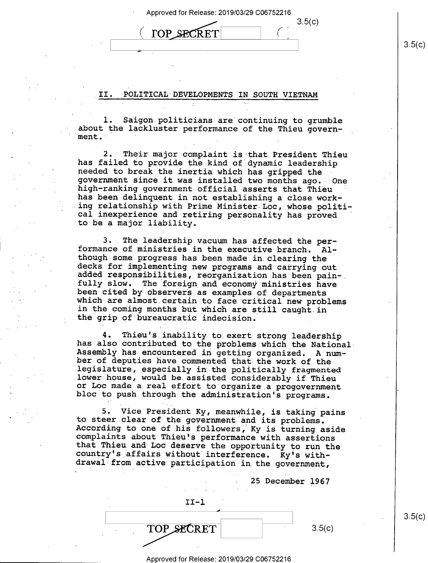၁.၁(C*)* 

# TOP SECRET  $\overline{\phantom{a}}$  , and the set of the set of the set of the set of the set of the set of the set of the set of the set of the set of the set of the set of the set of the set of the set of the set of the set of the set of the s

## II. POLITICAL' DEVELOPMENTS IN SOUTH VIETNAM

l. Saigon politicians are continuing to grumble about the lackluster performance of the Thieu govern- ment.

2. Their major complaint is that President Thieu has failed to provide the kind of dynamic leadership needed to break the inertia which has gripped the government since it was installed two months ago. One high-ranking government official asserts that Thieu has been delinquent in not establishing a close working relationship with Prime Minister Loc, whose politi- cal inexperience and retiring personality has proved ' to be a major liability.

3. The leadership vacuum has affected the per-<br>formance of ministries in the executive branch. Al-<br>though some progress has been made in clearing the<br>decks for implementing new programs and carrying out<br>added responsibilit

4. Thieu's inability to exert strong leadership<br>has also contributed to the problems which the National<br>Assembly has encountered in getting organized. A num-<br>her of deputies have commented that the work of the<br>legislature,

5. Vice President Ky, meanwhile, is taking pains<br>to steer clear of the government and its problems.<br>According to one of his followers, Ky is turning aside<br>complaints about Thieu's performance with assertions<br>that Thieu and

25 December 1967

 $II-1$ 

TOP SECRET

 $3.5(c)$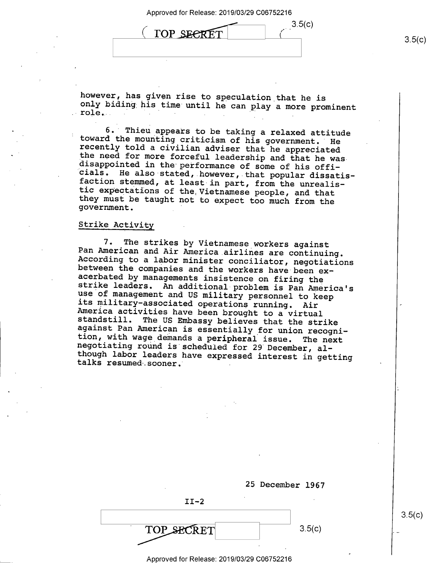| $T\cap$ | -<br>, |  |
|---------|--------|--|
|         |        |  |

however, has given rise to speculation that he is<br>only biding his time until he can play a more prominent<br>role.

6. Thieu appears to be taking a relaxed attitude<br>toward the mounting criticism of his government. He<br>recently told a civilian adviser that he appreciated<br>the need for more forceful leadership and that he was<br>disappointed i

#### Strike Activity

7. The strikes by Vietnamese workers against<br>Pan American and Air America airlines are continuing.<br>According to a labor minister conciliator, negotiations<br>between the companies and the workers have been ex-<br>acchated by man

|                                                         | 25 December 1967 |     |
|---------------------------------------------------------|------------------|-----|
| . .<br>$II-2$                                           |                  |     |
| $\cdot$<br>TOP<br>$\mathop{\mathrm{TR}}$ ET<br>$\Omega$ | 3.5(c)           | - - |

Approved for Release: 2019/03/29 C06752216

 $3.5(c)$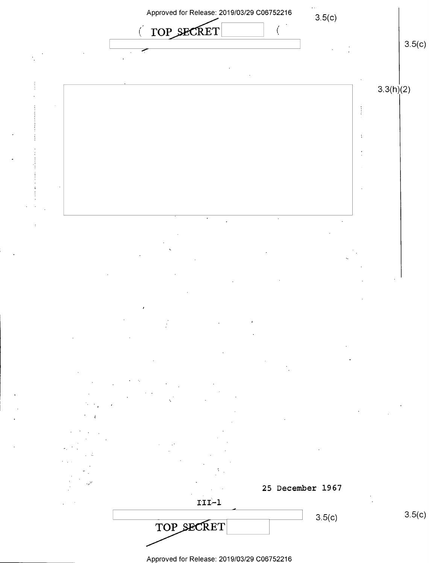

Approved for Release: 2019/03/29 C06752216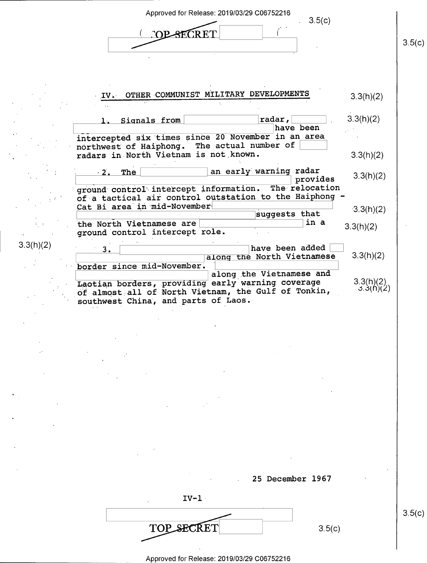|           | Approved for Release: 2019/03/29 C06752216                                                                                                                                                              |        |
|-----------|---------------------------------------------------------------------------------------------------------------------------------------------------------------------------------------------------------|--------|
|           | 3.5(c)<br><b>OP-SECRET</b>                                                                                                                                                                              |        |
|           |                                                                                                                                                                                                         | 3.5(c) |
|           |                                                                                                                                                                                                         |        |
|           |                                                                                                                                                                                                         |        |
|           |                                                                                                                                                                                                         |        |
|           | OTHER COMMUNIST MILITARY DEVELOPMENTS<br>IV.<br>3.3(h)(2)                                                                                                                                               |        |
|           |                                                                                                                                                                                                         |        |
|           | 3.3(h)(2)<br>radar, $\sqrt{ }$<br>Signals from<br>have been                                                                                                                                             |        |
|           | intercepted six times since 20 November in an area<br>northwest of Haiphong. The actual number of                                                                                                       |        |
|           | radars in North Vietnam is not known.<br>3.3(h)(2)                                                                                                                                                      |        |
|           | an early warning radar<br>$-2$ . The<br>3.3(h)(2)<br>provides                                                                                                                                           |        |
|           | ground control intercept information. The relocation<br>of a tactical air control outstation to the Haiphong -                                                                                          |        |
|           | Cat Bi area in mid-November<br>3.3(h)(2)<br>suggests that                                                                                                                                               |        |
|           | in a<br>the North Vietnamese are<br>3.3(h)(2)<br>ground control intercept role.                                                                                                                         |        |
| 3.3(h)(2) | have been added<br>3.<br>3.3(h)(2)<br>along the North Vietnamese                                                                                                                                        |        |
|           | border since mid-November.                                                                                                                                                                              |        |
|           | along the Vietnamese and<br>$3.3(h)(2)$<br>3.3(n)(2)<br>Laotian borders, providing early warning coverage<br>of almost all of North Vietnam, the Gulf of Tonkin,<br>southwest China, and parts of Laos. |        |
|           |                                                                                                                                                                                                         |        |
|           |                                                                                                                                                                                                         |        |
|           |                                                                                                                                                                                                         |        |
|           |                                                                                                                                                                                                         |        |
|           |                                                                                                                                                                                                         |        |
|           |                                                                                                                                                                                                         |        |
|           |                                                                                                                                                                                                         |        |
|           |                                                                                                                                                                                                         |        |
|           |                                                                                                                                                                                                         |        |
|           |                                                                                                                                                                                                         |        |
|           | 25 December 1967                                                                                                                                                                                        |        |
|           | $IV-1$                                                                                                                                                                                                  |        |
|           |                                                                                                                                                                                                         | 3.5(c) |
|           | <b>TOP SEC</b><br>TR ET<br>3.5(c)                                                                                                                                                                       |        |
|           |                                                                                                                                                                                                         |        |

 $\frac{1}{\sqrt{2}}$ 

Approved for Release: 2019/03/29 C06752216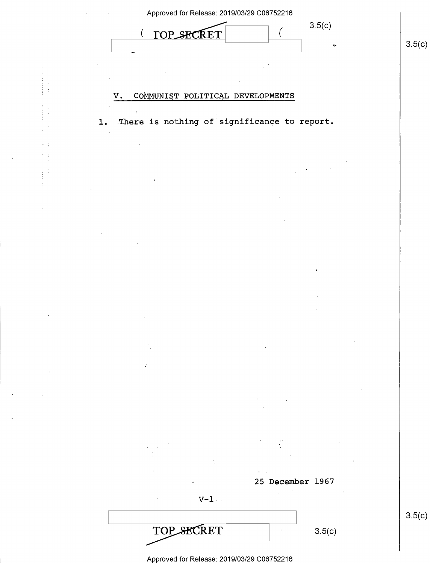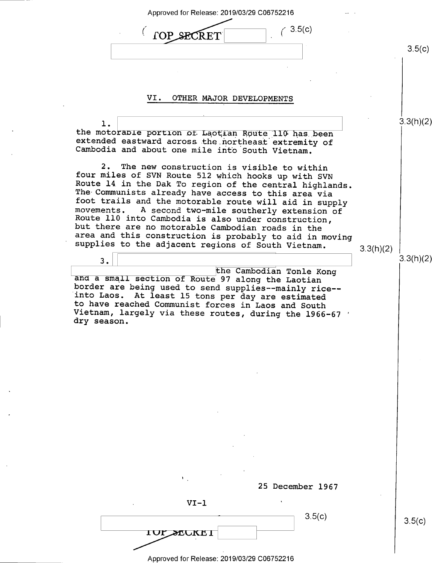| $\sim$ 3.5(c)<br>$\mathcal{T}\mathtt{RET}$<br>$\Gamma$ OP<br>3.5(c)<br>VI.<br>OTHER MAJOR DEVELOPMENTS<br>1.<br>the motorable portion of Laotian Route 110 has been<br>extended eastward across the northeast extremity of<br>Cambodia and about one mile into South Vietnam.<br>2. The new construction is visible to within<br>four miles of SVN Route 512 which hooks up with SVN<br>Route 14 in the Dak To region of the central highlands.<br>The Communists already have access to this area via<br>foot trails and the motorable route will aid in supply<br>movements. A second two-mile southerly extension of<br>Route 110 into Cambodia is also under construction,<br>but there are no motorable Cambodian roads in the<br>area and this construction is probably to aid in moving<br>supplies to the adjacent regions of South Vietnam.<br>3.3(h)(2)<br>3.<br>the Cambodian Tonle Kong<br>and a small section of Route 97 along the Laotian<br>border are being used to send supplies--mainly rice--<br>into Laos. At least 15 tons per day are estimated<br>to have reached Communist forces in Laos and South<br>Vietnam, largely via these routes, during the 1966-67<br>dry season.<br>$\mathbf{V}_{\text{max}}$<br>25 December 1967<br>$VI-1$<br>3.5(c)<br>3.5(c)<br><b>TOL STOKET</b> | Approved for Release: 2019/03/29 C06752216 |           |
|----------------------------------------------------------------------------------------------------------------------------------------------------------------------------------------------------------------------------------------------------------------------------------------------------------------------------------------------------------------------------------------------------------------------------------------------------------------------------------------------------------------------------------------------------------------------------------------------------------------------------------------------------------------------------------------------------------------------------------------------------------------------------------------------------------------------------------------------------------------------------------------------------------------------------------------------------------------------------------------------------------------------------------------------------------------------------------------------------------------------------------------------------------------------------------------------------------------------------------------------------------------------------------------------------------|--------------------------------------------|-----------|
|                                                                                                                                                                                                                                                                                                                                                                                                                                                                                                                                                                                                                                                                                                                                                                                                                                                                                                                                                                                                                                                                                                                                                                                                                                                                                                          |                                            |           |
|                                                                                                                                                                                                                                                                                                                                                                                                                                                                                                                                                                                                                                                                                                                                                                                                                                                                                                                                                                                                                                                                                                                                                                                                                                                                                                          |                                            |           |
|                                                                                                                                                                                                                                                                                                                                                                                                                                                                                                                                                                                                                                                                                                                                                                                                                                                                                                                                                                                                                                                                                                                                                                                                                                                                                                          |                                            |           |
|                                                                                                                                                                                                                                                                                                                                                                                                                                                                                                                                                                                                                                                                                                                                                                                                                                                                                                                                                                                                                                                                                                                                                                                                                                                                                                          |                                            |           |
|                                                                                                                                                                                                                                                                                                                                                                                                                                                                                                                                                                                                                                                                                                                                                                                                                                                                                                                                                                                                                                                                                                                                                                                                                                                                                                          |                                            | 3.3(h)(2) |
|                                                                                                                                                                                                                                                                                                                                                                                                                                                                                                                                                                                                                                                                                                                                                                                                                                                                                                                                                                                                                                                                                                                                                                                                                                                                                                          |                                            | 3.3(h)(2) |
|                                                                                                                                                                                                                                                                                                                                                                                                                                                                                                                                                                                                                                                                                                                                                                                                                                                                                                                                                                                                                                                                                                                                                                                                                                                                                                          |                                            |           |
|                                                                                                                                                                                                                                                                                                                                                                                                                                                                                                                                                                                                                                                                                                                                                                                                                                                                                                                                                                                                                                                                                                                                                                                                                                                                                                          |                                            |           |
|                                                                                                                                                                                                                                                                                                                                                                                                                                                                                                                                                                                                                                                                                                                                                                                                                                                                                                                                                                                                                                                                                                                                                                                                                                                                                                          |                                            |           |
|                                                                                                                                                                                                                                                                                                                                                                                                                                                                                                                                                                                                                                                                                                                                                                                                                                                                                                                                                                                                                                                                                                                                                                                                                                                                                                          |                                            |           |
|                                                                                                                                                                                                                                                                                                                                                                                                                                                                                                                                                                                                                                                                                                                                                                                                                                                                                                                                                                                                                                                                                                                                                                                                                                                                                                          |                                            |           |
|                                                                                                                                                                                                                                                                                                                                                                                                                                                                                                                                                                                                                                                                                                                                                                                                                                                                                                                                                                                                                                                                                                                                                                                                                                                                                                          |                                            |           |
|                                                                                                                                                                                                                                                                                                                                                                                                                                                                                                                                                                                                                                                                                                                                                                                                                                                                                                                                                                                                                                                                                                                                                                                                                                                                                                          |                                            |           |
|                                                                                                                                                                                                                                                                                                                                                                                                                                                                                                                                                                                                                                                                                                                                                                                                                                                                                                                                                                                                                                                                                                                                                                                                                                                                                                          |                                            |           |
| Approved for Release: 2019/03/29 C06752216                                                                                                                                                                                                                                                                                                                                                                                                                                                                                                                                                                                                                                                                                                                                                                                                                                                                                                                                                                                                                                                                                                                                                                                                                                                               |                                            |           |

 $\sim 10$ 

 $\sim$   $\sim$ 

 $\sim 10^{11}$ 

 $\sim$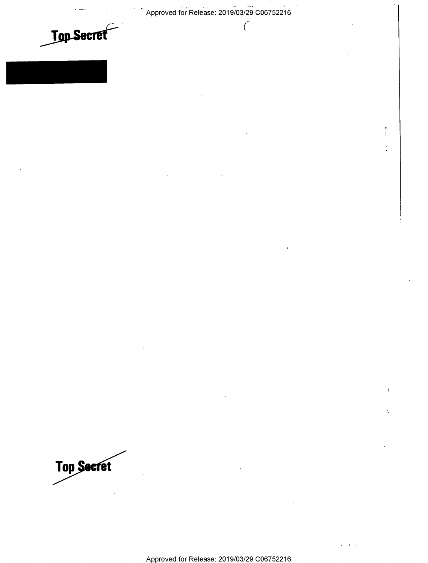

**Top Secret** 

 $\binom{6}{1}$ 

 $\ddot{\dagger}$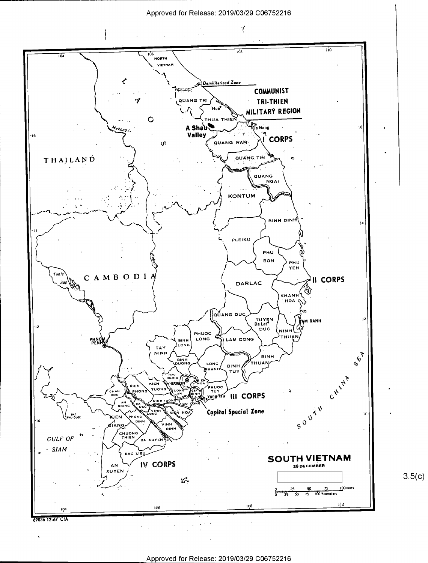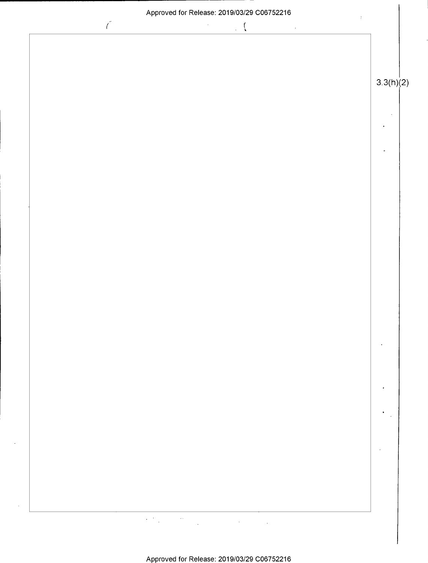r -  $\Gamma$  -  $\Gamma$  -  $\Gamma$  -  $\Gamma$  -  $\Gamma$  -  $\Gamma$  -  $\Gamma$  -  $\Gamma$  -  $\Gamma$  -  $\Gamma$  -  $\Gamma$  -  $\Gamma$  -  $\Gamma$  -  $\Gamma$  -  $\Gamma$  -  $\Gamma$  -  $\Gamma$  -  $\Gamma$  -  $\Gamma$  -  $\Gamma$  -  $\Gamma$  -  $\Gamma$  -  $\Gamma$  -  $\Gamma$  -  $\Gamma$  -  $\Gamma$  -  $\Gamma$  -  $\Gamma$  -  $\Gamma$  -  $\Gamma$  -  $\Gamma$  -

 $3.3(h)(2)$ 

 $\frac{1}{2}$ 

 $\label{eq:2.1} \mathcal{L}(\mathcal{L}^{\text{max}}_{\mathcal{L}}(\mathcal{L}^{\text{max}}_{\mathcal{L}}),\mathcal{L}^{\text{max}}_{\mathcal{L}^{\text{max}}_{\mathcal{L}}})$